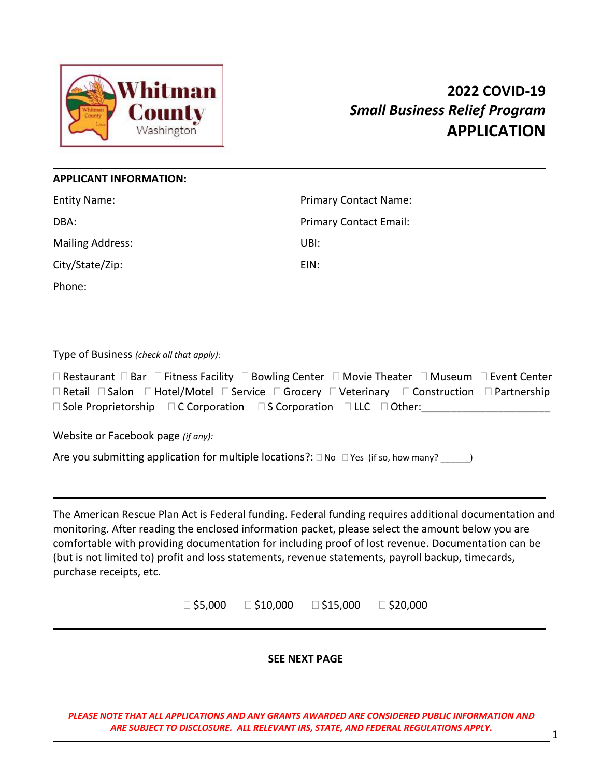

# **2022 COVID-19**  *Small Business Relief Program* **APPLICATION**

## **APPLICANT INFORMATION:**

| <b>Entity Name:</b>     | <b>Primary Contact Name:</b>  |
|-------------------------|-------------------------------|
| DBA:                    | <b>Primary Contact Email:</b> |
| <b>Mailing Address:</b> | UBI:                          |
| City/State/Zip:         | EIN:                          |
| Phone:                  |                               |

Type of Business *(check all that apply):*

 $\Box$  Restaurant  $\Box$  Bar  $\Box$  Fitness Facility  $\Box$  Bowling Center  $\Box$  Movie Theater  $\Box$  Museum  $\Box$  Event Center  $\Box$  Retail  $\Box$  Salon  $\Box$  Hotel/Motel  $\Box$  Service  $\Box$  Grocery  $\Box$  Veterinary  $\Box$  Construction  $\Box$  Partnership  $\square$  Sole Proprietorship  $\square$  C Corporation  $\square$  S Corporation  $\square$  LLC  $\square$  Other:

Website or Facebook page *(if any):*

Are you submitting application for multiple locations?:  $\Box$  No  $\Box$  Yes (if so, how many?  $\Box$ )

The American Rescue Plan Act is Federal funding. Federal funding requires additional documentation and monitoring. After reading the enclosed information packet, please select the amount below you are comfortable with providing documentation for including proof of lost revenue. Documentation can be (but is not limited to) profit and loss statements, revenue statements, payroll backup, timecards, purchase receipts, etc.

 $\Box$ \$5,000  $\Box$ \$10,000  $\Box$ \$15,000  $\Box$ \$20,000

# **SEE NEXT PAGE**

**In brief sentences or a paragraph, please explain (or include as a one page attachment):** *PLEASE NOTE THAT ALL APPLICATIONS AND ANY GRANTS AWARDED ARE CONSIDERED PUBLIC INFORMATION AND ARE SUBJECT TO DISCLOSURE. ALL RELEVANT IRS, STATE, AND FEDERAL REGULATIONS APPLY.*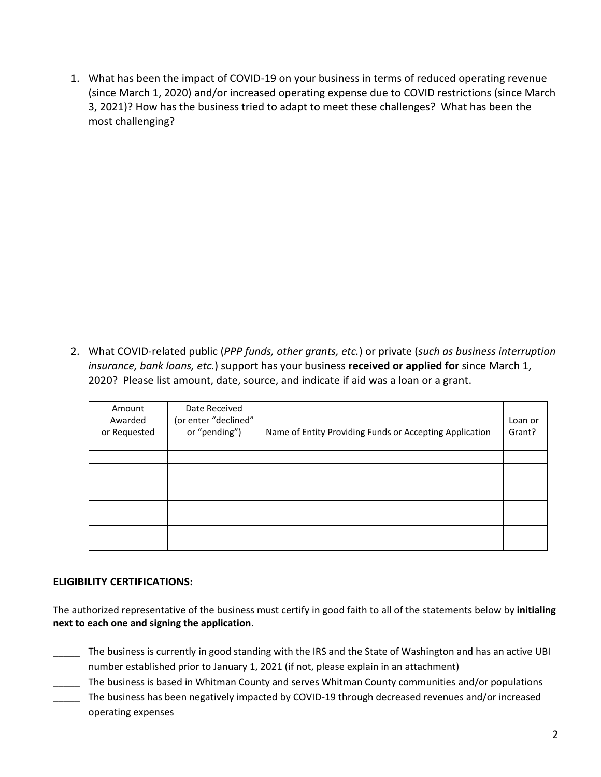1. What has been the impact of COVID-19 on your business in terms of reduced operating revenue (since March 1, 2020) and/or increased operating expense due to COVID restrictions (since March 3, 2021)? How has the business tried to adapt to meet these challenges? What has been the most challenging?

2. What COVID-related public (*PPP funds, other grants, etc.*) or private (*such as business interruption insurance, bank loans, etc.*) support has your business **received or applied for** since March 1, 2020? Please list amount, date, source, and indicate if aid was a loan or a grant.

| Amount<br>Awarded | Date Received<br>(or enter "declined" |                                                         | Loan or |
|-------------------|---------------------------------------|---------------------------------------------------------|---------|
|                   |                                       |                                                         |         |
| or Requested      | or "pending")                         | Name of Entity Providing Funds or Accepting Application | Grant?  |
|                   |                                       |                                                         |         |
|                   |                                       |                                                         |         |
|                   |                                       |                                                         |         |
|                   |                                       |                                                         |         |
|                   |                                       |                                                         |         |
|                   |                                       |                                                         |         |
|                   |                                       |                                                         |         |
|                   |                                       |                                                         |         |
|                   |                                       |                                                         |         |

# **ELIGIBILITY CERTIFICATIONS:**

The authorized representative of the business must certify in good faith to all of the statements below by **initialing next to each one and signing the application**.

- \_\_\_\_\_ The business is currently in good standing with the IRS and the State of Washington and has an active UBI number established prior to January 1, 2021 (if not, please explain in an attachment)
- The business is based in Whitman County and serves Whitman County communities and/or populations
- The business has been negatively impacted by COVID-19 through decreased revenues and/or increased operating expenses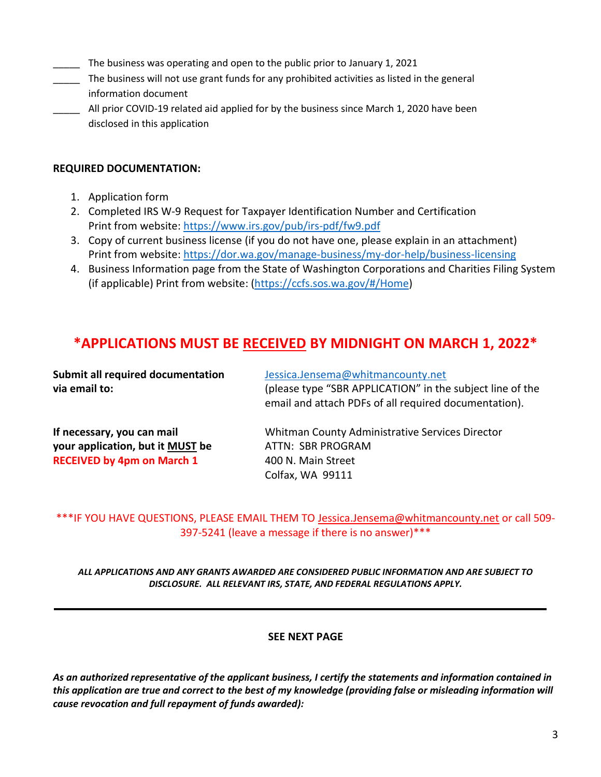- The business was operating and open to the public prior to January 1, 2021
- The business will not use grant funds for any prohibited activities as listed in the general information document
- All prior COVID-19 related aid applied for by the business since March 1, 2020 have been disclosed in this application

## **REQUIRED DOCUMENTATION:**

- 1. Application form
- 2. Completed IRS W-9 Request for Taxpayer Identification Number and Certification Print from website:<https://www.irs.gov/pub/irs-pdf/fw9.pdf>
- 3. Copy of current business license (if you do not have one, please explain in an attachment) Print from website:<https://dor.wa.gov/manage-business/my-dor-help/business-licensing>
- 4. Business Information page from the State of Washington Corporations and Charities Filing System (if applicable) Print from website: [\(https://ccfs.sos.wa.gov/#/Home\)](https://ccfs.sos.wa.gov/#/Home)

# **\*APPLICATIONS MUST BE RECEIVED BY MIDNIGHT ON MARCH 1, 2022\***

| <b>Submit all required documentation</b><br>via email to:                                           | Jessica.Jensema@whitmancounty.net<br>(please type "SBR APPLICATION" in the subject line of the<br>email and attach PDFs of all required documentation). |
|-----------------------------------------------------------------------------------------------------|---------------------------------------------------------------------------------------------------------------------------------------------------------|
| If necessary, you can mail<br>your application, but it MUST be<br><b>RECEIVED by 4pm on March 1</b> | Whitman County Administrative Services Director<br>ATTN: SBR PROGRAM<br>400 N. Main Street<br>Colfax, WA 99111                                          |

\*\*\*IF YOU HAVE QUESTIONS, PLEASE EMAIL THEM TO [Jessica.Jensema@whitmancounty.net](mailto:Jessica.Jensema@whitmancounty.net) or call 509- 397-5241 (leave a message if there is no answer)\*\*\*

*ALL APPLICATIONS AND ANY GRANTS AWARDED ARE CONSIDERED PUBLIC INFORMATION AND ARE SUBJECT TO DISCLOSURE. ALL RELEVANT IRS, STATE, AND FEDERAL REGULATIONS APPLY.*

#### **SEE NEXT PAGE**

*As an authorized representative of the applicant business, I certify the statements and information contained in this application are true and correct to the best of my knowledge (providing false or misleading information will cause revocation and full repayment of funds awarded):*